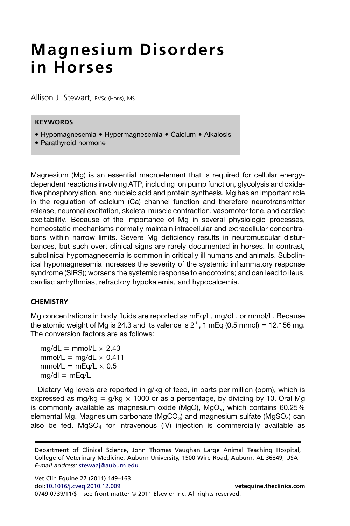# Magnesium Disorders in Horses

Allison J. Stewart, BVSc (Hons), MS

## **KEYWORDS**

- Hypomagnesemia Hypermagnesemia Calcium Alkalosis
- Parathyroid hormone

Magnesium (Mg) is an essential macroelement that is required for cellular energydependent reactions involving ATP, including ion pump function, glycolysis and oxidative phosphorylation, and nucleic acid and protein synthesis. Mg has an important role in the regulation of calcium (Ca) channel function and therefore neurotransmitter release, neuronal excitation, skeletal muscle contraction, vasomotor tone, and cardiac excitability. Because of the importance of Mg in several physiologic processes, homeostatic mechanisms normally maintain intracellular and extracellular concentrations within narrow limits. Severe Mg deficiency results in neuromuscular disturbances, but such overt clinical signs are rarely documented in horses. In contrast, subclinical hypomagnesemia is common in critically ill humans and animals. Subclinical hypomagnesemia increases the severity of the systemic inflammatory response syndrome (SIRS); worsens the systemic response to endotoxins; and can lead to ileus, cardiac arrhythmias, refractory hypokalemia, and hypocalcemia.

#### **CHEMISTRY**

Mg concentrations in body fluids are reported as mEq/L, mg/dL, or mmol/L. Because the atomic weight of Mg is 24.3 and its valence is  $2^+$ , 1 mEq (0.5 mmol) = 12.156 mg. The conversion factors are as follows:

 $mg/dL = mmol/L \times 2.43$  $mmol/L = mg/dL \times 0.411$  $mmol/L = mEq/L \times 0.5$  $mg/dl = mEq/L$ 

Dietary Mg levels are reported in g/kg of feed, in parts per million (ppm), which is expressed as mg/kg =  $g/kg \times 1000$  or as a percentage, by dividing by 10. Oral Mg is commonly available as magnesium oxide (MgO), MgO<sub>x</sub>, which contains  $60.25\%$ elemental Mg. Magnesium carbonate (MgCO<sub>3</sub>) and magnesium sulfate (MgSO<sub>4</sub>) can also be fed.  $MgSO<sub>4</sub>$  for intravenous (IV) injection is commercially available as

Department of Clinical Science, John Thomas Vaughan Large Animal Teaching Hospital, College of Veterinary Medicine, Auburn University, 1500 Wire Road, Auburn, AL 36849, USA E-mail address: [stewaaj@auburn.edu](mailto:stewaaj@auburn.edu)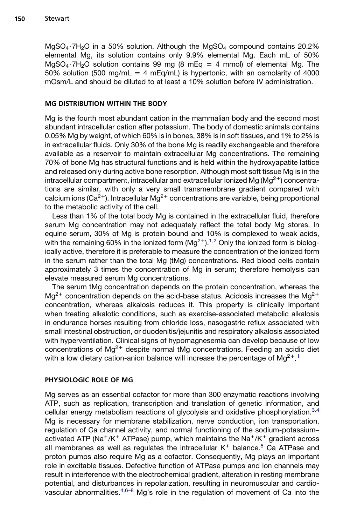$MgSO<sub>4</sub>·7H<sub>2</sub>O$  in a 50% solution. Although the  $MgSO<sub>4</sub>$  compound contains 20.2% elemental Mg, its solution contains only 9.9% elemental Mg. Each mL of 50% MgSO<sub>4</sub>  $\cdot$  7H<sub>2</sub>O solution contains 99 mg (8 mEq = 4 mmol) of elemental Mg. The 50% solution (500 mg/mL = 4 mEq/mL) is hypertonic, with an osmolarity of 4000 mOsm/L and should be diluted to at least a 10% solution before IV administration.

## MG DISTRIBUTION WITHIN THE BODY

Mg is the fourth most abundant cation in the mammalian body and the second most abundant intracellular cation after potassium. The body of domestic animals contains 0.05% Mg by weight, of which 60% is in bones, 38% is in soft tissues, and 1% to 2% is in extracellular fluids. Only 30% of the bone Mg is readily exchangeable and therefore available as a reservoir to maintain extracellular Mg concentrations. The remaining 70% of bone Mg has structural functions and is held within the hydroxyapatite lattice and released only during active bone resorption. Although most soft tissue Mg is in the intracellular compartment, intracellular and extracellular ionized Mg ( $Mq^{2+}$ ) concentrations are similar, with only a very small transmembrane gradient compared with calcium ions (Ca<sup>2+</sup>). Intracellular Mg<sup>2+</sup> concentrations are variable, being proportional to the metabolic activity of the cell.

Less than 1% of the total body Mg is contained in the extracellular fluid, therefore serum Mg concentration may not adequately reflect the total body Mg stores. In equine serum, 30% of Mg is protein bound and 10% is complexed to weak acids, with the remaining 60% in the ionized form  $(Mg^{2+})$ .<sup>[1,2](#page-10-0)</sup> Only the ionized form is biologically active, therefore it is preferable to measure the concentration of the ionized form in the serum rather than the total Mg (tMg) concentrations. Red blood cells contain approximately 3 times the concentration of Mg in serum; therefore hemolysis can elevate measured serum Mg concentrations.

The serum tMg concentration depends on the protein concentration, whereas the  $Mq^{2+}$  concentration depends on the acid-base status. Acidosis increases the  $Mq^{2+}$ concentration, whereas alkalosis reduces it. This property is clinically important when treating alkalotic conditions, such as exercise-associated metabolic alkalosis in endurance horses resulting from chloride loss, nasogastric reflux associated with small intestinal obstruction, or duodenitis/jejunitis and respiratory alkalosis associated with hyperventilation. Clinical signs of hypomagnesemia can develop because of low concentrations of  $Mg^{2+}$  despite normal tMg concentrations. Feeding an acidic diet with a low dietary cation-anion balance will increase the percentage of  $Mg^{2+1}$  $Mg^{2+1}$  $Mg^{2+1}$ 

#### PHYSIOLOGIC ROLE OF MG

Mg serves as an essential cofactor for more than 300 enzymatic reactions involving ATP, such as replication, transcription and translation of genetic information, and cellular energy metabolism reactions of glycolysis and oxidative phosphorylation.<sup>[3,4](#page-10-0)</sup> Mg is necessary for membrane stabilization, nerve conduction, ion transportation, regulation of Ca channel activity, and normal functioning of the sodium-potassium– activated ATP (Na<sup>+</sup>/K<sup>+</sup> ATPase) pump, which maintains the Na<sup>+</sup>/K<sup>+</sup> gradient across all membranes as well as regulates the intracellular  $K^+$  balance.<sup>[5](#page-11-0)</sup> Ca ATPase and proton pumps also require Mg as a cofactor. Consequently, Mg plays an important role in excitable tissues. Defective function of ATPase pumps and ion channels may result in interference with the electrochemical gradient, alteration in resting membrane potential, and disturbances in repolarization, resulting in neuromuscular and cardiovascular abnormalities. $4,6-8$  Mg's role in the regulation of movement of Ca into the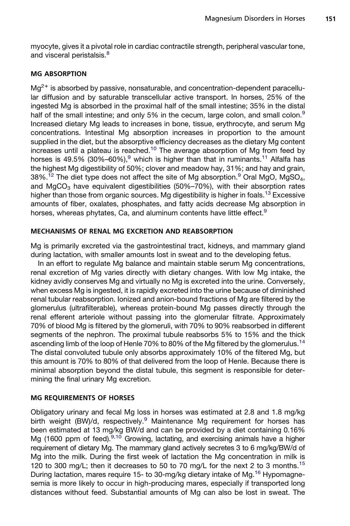myocyte, gives it a pivotal role in cardiac contractile strength, peripheral vascular tone, and visceral peristalsis.<sup>[8](#page-11-0)</sup>

## MG ABSORPTION

 $Mg^{2+}$  is absorbed by passive, nonsaturable, and concentration-dependent paracellular diffusion and by saturable transcellular active transport. In horses, 25% of the ingested Mg is absorbed in the proximal half of the small intestine; 35% in the distal half of the small intestine; and only 5% in the cecum, large colon, and small colon. $9$ Increased dietary Mg leads to increases in bone, tissue, erythrocyte, and serum Mg concentrations. Intestinal Mg absorption increases in proportion to the amount supplied in the diet, but the absorptive efficiency decreases as the dietary Mg content increases until a plateau is reached.<sup>[10](#page-11-0)</sup> The average absorption of Mg from feed by horses is 4[9](#page-11-0).5% (30%–60%),<sup>9</sup> which is higher than that in ruminants.<sup>[11](#page-11-0)</sup> Alfalfa has the highest Mg digestibility of 50%; clover and meadow hay, 31%; and hay and grain,  $38\%$ .<sup>12</sup> The diet type does not affect the site of Mg absorption.<sup>[9](#page-11-0)</sup> Oral MgO, MgSO<sub>4</sub>, and MgCO<sub>3</sub> have equivalent digestibilities (50%–70%), with their absorption rates higher than those from organic sources. Mg digestibility is higher in foals.<sup>[13](#page-11-0)</sup> Excessive amounts of fiber, oxalates, phosphates, and fatty acids decrease Mg absorption in horses, whereas phytates, Ca, and aluminum contents have little effect.<sup>[9](#page-11-0)</sup>

## MECHANISMS OF RENAL MG EXCRETION AND REABSORPTION

Mg is primarily excreted via the gastrointestinal tract, kidneys, and mammary gland during lactation, with smaller amounts lost in sweat and to the developing fetus.

In an effort to regulate Mg balance and maintain stable serum Mg concentrations, renal excretion of Mg varies directly with dietary changes. With low Mg intake, the kidney avidly conserves Mg and virtually no Mg is excreted into the urine. Conversely, when excess Mg is ingested, it is rapidly excreted into the urine because of diminished renal tubular reabsorption. Ionized and anion-bound fractions of Mg are filtered by the glomerulus (ultrafilterable), whereas protein-bound Mg passes directly through the renal efferent arteriole without passing into the glomerular filtrate. Approximately 70% of blood Mg is filtered by the glomeruli, with 70% to 90% reabsorbed in different segments of the nephron. The proximal tubule reabsorbs 5% to 15% and the thick ascending limb of the loop of Henle 70% to 80% of the Mg filtered by the glomerulus.<sup>[14](#page-11-0)</sup> The distal convoluted tubule only absorbs approximately 10% of the filtered Mg, but this amount is 70% to 80% of that delivered from the loop of Henle. Because there is minimal absorption beyond the distal tubule, this segment is responsible for determining the final urinary Mg excretion.

# MG REQUIREMENTS OF HORSES

Obligatory urinary and fecal Mg loss in horses was estimated at 2.8 and 1.8 mg/kg birth weight (BW)/d, respectively.<sup>[9](#page-11-0)</sup> Maintenance Mg requirement for horses has been estimated at 13 mg/kg BW/d and can be provided by a diet containing 0.16% Mg (1600 ppm of feed).<sup>[9,10](#page-11-0)</sup> Growing, lactating, and exercising animals have a higher requirement of dietary Mg. The mammary gland actively secretes 3 to 6 mg/kg/BW/d of Mg into the milk. During the first week of lactation the Mg concentration in milk is 120 to 300 mg/L; then it decreases to 50 to 70 mg/L for the next 2 to 3 months.<sup>[15](#page-11-0)</sup> During lactation, mares require 15- to 30-mg/kg dietary intake of Mg.<sup>[16](#page-11-0)</sup> Hypomagnesemia is more likely to occur in high-producing mares, especially if transported long distances without feed. Substantial amounts of Mg can also be lost in sweat. The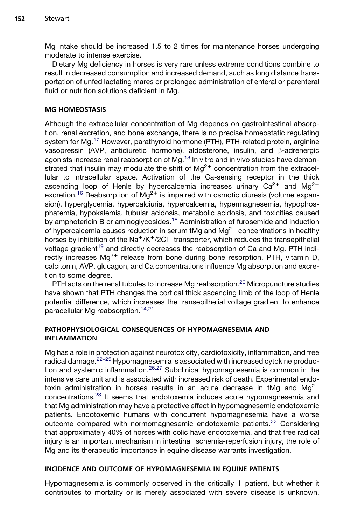Mg intake should be increased 1.5 to 2 times for maintenance horses undergoing moderate to intense exercise.

Dietary Mg deficiency in horses is very rare unless extreme conditions combine to result in decreased consumption and increased demand, such as long distance transportation of unfed lactating mares or prolonged administration of enteral or parenteral fluid or nutrition solutions deficient in Mg.

## MG HOMEOSTASIS

Although the extracellular concentration of Mg depends on gastrointestinal absorption, renal excretion, and bone exchange, there is no precise homeostatic regulating system for Mg.<sup>17</sup> However, parathyroid hormone (PTH), PTH-related protein, arginine vasopressin (AVP, antidiuretic hormone), aldosterone, insulin, and  $\beta$ -adrenergic agonists increase renal reabsorption of Mg.<sup>[18](#page-11-0)</sup> In vitro and in vivo studies have demonstrated that insulin may modulate the shift of  $Mg^{2+}$  concentration from the extracellular to intracellular space. Activation of the Ca-sensing receptor in the thick ascending loop of Henle by hypercalcemia increases urinary  $Ca^{2+}$  and  $Mg^{2+}$ excretion.<sup>[16](#page-11-0)</sup> Reabsorption of Mg<sup>2+</sup> is impaired with osmotic diuresis (volume expansion), hyperglycemia, hypercalciuria, hypercalcemia, hypermagnesemia, hypophosphatemia, hypokalemia, tubular acidosis, metabolic acidosis, and toxicities caused by amphotericin B or aminoglycosides.<sup>[18](#page-11-0)</sup> Administration of furosemide and induction of hypercalcemia causes reduction in serum tMg and  $Mg^{2+}$  concentrations in healthy horses by inhibition of the Na<sup>+</sup>/K<sup>+</sup>/2Cl<sup>-</sup> transporter, which reduces the transepithelial voltage gradient<sup>[19](#page-11-0)</sup> and directly decreases the reabsorption of Ca and Mg. PTH indirectly increases  $Mg^{2+}$  release from bone during bone resorption. PTH, vitamin D, calcitonin, AVP, glucagon, and Ca concentrations influence Mg absorption and excretion to some degree.

PTH acts on the renal tubules to increase Mg reabsorption.<sup>[20](#page-11-0)</sup> Micropuncture studies have shown that PTH changes the cortical thick ascending limb of the loop of Henle potential difference, which increases the transepithelial voltage gradient to enhance paracellular Mg reabsorption.[14,21](#page-11-0)

## PATHOPHYSIOLOGICAL CONSEQUENCES OF HYPOMAGNESEMIA AND INFLAMMATION

Mg has a role in protection against neurotoxicity, cardiotoxicity, inflammation, and free radical damage.<sup>[22–25](#page-11-0)</sup> Hypomagnesemia is associated with increased cytokine produc-tion and systemic inflammation.<sup>[26,27](#page-12-0)</sup> Subclinical hypomagnesemia is common in the intensive care unit and is associated with increased risk of death. Experimental endotoxin administration in horses results in an acute decrease in tMq and  $Ma^{2+}$ concentrations.[28](#page-12-0) It seems that endotoxemia induces acute hypomagnesemia and that Mg administration may have a protective effect in hypomagnesemic endotoxemic patients. Endotoxemic humans with concurrent hypomagnesemia have a worse outcome compared with normomagnesemic endotoxemic patients.<sup>[22](#page-11-0)</sup> Considering that approximately 40% of horses with colic have endotoxemia, and that free radical injury is an important mechanism in intestinal ischemia-reperfusion injury, the role of Mg and its therapeutic importance in equine disease warrants investigation.

# INCIDENCE AND OUTCOME OF HYPOMAGNESEMIA IN EQUINE PATIENTS

Hypomagnesemia is commonly observed in the critically ill patient, but whether it contributes to mortality or is merely associated with severe disease is unknown.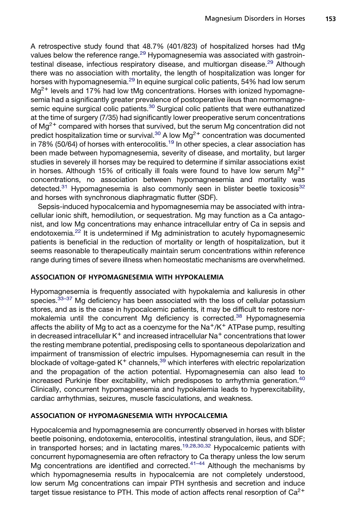A retrospective study found that 48.7% (401/823) of hospitalized horses had tMg values below the reference range.<sup>[29](#page-12-0)</sup> Hypomagnesemia was associated with gastroin-testinal disease, infectious respiratory disease, and multiorgan disease.<sup>[29](#page-12-0)</sup> Although there was no association with mortality, the length of hospitalization was longer for horses with hypomagnesemia.<sup>[29](#page-12-0)</sup> In equine surgical colic patients, 54% had low serum  $Mq^{2+}$  levels and 17% had low tMg concentrations. Horses with ionized hypomagnesemia had a significantly greater prevalence of postoperative ileus than normomagne-semic equine surgical colic patients.<sup>[30](#page-12-0)</sup> Surgical colic patients that were euthanatized at the time of surgery (7/35) had significantly lower preoperative serum concentrations of  $Mg^{2+}$  compared with horses that survived, but the serum Mg concentration did not predict hospitalization time or survival. $30$  A low Mg<sup>2+</sup> concentration was documented  $\frac{1}{10}$  in 78% (50/64) of horses with enterocolitis.<sup>[19](#page-11-0)</sup> In other species, a clear association has been made between hypomagnesemia, severity of disease, and mortality, but larger studies in severely ill horses may be required to determine if similar associations exist in horses. Although 15% of critically ill foals were found to have low serum  $Ma^{2+}$ concentrations, no association between hypomagnesemia and mortality was detected. $31$  Hypomagnesemia is also commonly seen in blister beetle toxicosis $32$ and horses with synchronous diaphragmatic flutter (SDF).

Sepsis-induced hypocalcemia and hypomagnesemia may be associated with intracellular ionic shift, hemodilution, or sequestration. Mg may function as a Ca antagonist, and low Mg concentrations may enhance intracellular entry of Ca in sepsis and endotoxemia.<sup>[22](#page-11-0)</sup> It is undetermined if Mg administration to acutely hypomagnesemic patients is beneficial in the reduction of mortality or length of hospitalization, but it seems reasonable to therapeutically maintain serum concentrations within reference range during times of severe illness when homeostatic mechanisms are overwhelmed.

#### ASSOCIATION OF HYPOMAGNESEMIA WITH HYPOKALEMIA

Hypomagnesemia is frequently associated with hypokalemia and kaliuresis in other species. $33-37$  Mg deficiency has been associated with the loss of cellular potassium stores, and as is the case in hypocalcemic patients, it may be difficult to restore nor-mokalemia until the concurrent Mg deficiency is corrected.<sup>[38](#page-12-0)</sup> Hypomagnesemia affects the ability of Mg to act as a coenzyme for the  $\text{Na}^+/ \text{K}^+$  ATPase pump, resulting in decreased intracellular  $K^+$  and increased intracellular Na<sup>+</sup> concentrations that lower the resting membrane potential, predisposing cells to spontaneous depolarization and impairment of transmission of electric impulses. Hypomagnesemia can result in the blockade of voltage-gated  $K^+$  channels,  $39$  which interferes with electric repolarization and the propagation of the action potential. Hypomagnesemia can also lead to increased Purkinje fiber excitability, which predisposes to arrhythmia generation.<sup>[40](#page-12-0)</sup> Clinically, concurrent hypomagnesemia and hypokalemia leads to hyperexcitability, cardiac arrhythmias, seizures, muscle fasciculations, and weakness.

#### ASSOCIATION OF HYPOMAGNESEMIA WITH HYPOCALCEMIA

Hypocalcemia and hypomagnesemia are concurrently observed in horses with blister beetle poisoning, endotoxemia, enterocolitis, intestinal strangulation, ileus, and SDF; in transported horses; and in lactating mares.[19,28,30,32](#page-11-0) Hypocalcemic patients with concurrent hypomagnesemia are often refractory to Ca therapy unless the low serum Mg concentrations are identified and corrected.<sup>[41–44](#page-12-0)</sup> Although the mechanisms by which hypomagnesemia results in hypocalcemia are not completely understood, low serum Mg concentrations can impair PTH synthesis and secretion and induce target tissue resistance to PTH. This mode of action affects renal resorption of  $Ca^{2+}$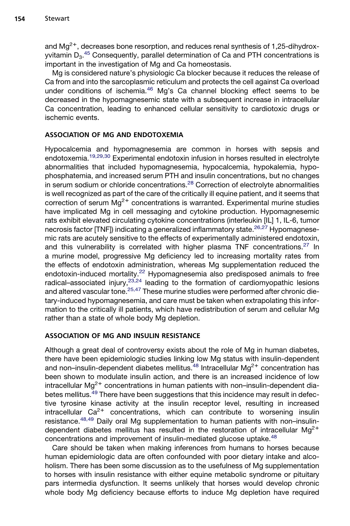and  $Mg^{2+}$ , decreases bone resorption, and reduces renal synthesis of 1,25-dihydroxyvitamin D $_3$ .<sup>[45](#page-12-0)</sup> Consequently, parallel determination of Ca and PTH concentrations is important in the investigation of Mg and Ca homeostasis.

Mg is considered nature's physiologic Ca blocker because it reduces the release of Ca from and into the sarcoplasmic reticulum and protects the cell against Ca overload under conditions of ischemia.<sup>[46](#page-13-0)</sup> Mg's Ca channel blocking effect seems to be decreased in the hypomagnesemic state with a subsequent increase in intracellular Ca concentration, leading to enhanced cellular sensitivity to cardiotoxic drugs or ischemic events.

# ASSOCIATION OF MG AND ENDOTOXEMIA

Hypocalcemia and hypomagnesemia are common in horses with sepsis and endotoxemia.[19,29,30](#page-11-0) Experimental endotoxin infusion in horses resulted in electrolyte abnormalities that included hypomagnesemia, hypocalcemia, hypokalemia, hypophosphatemia, and increased serum PTH and insulin concentrations, but no changes in serum sodium or chloride concentrations.<sup>[28](#page-12-0)</sup> Correction of electrolyte abnormalities is well recognized as part of the care of the critically ill equine patient, and it seems that correction of serum  $Mg^{2+}$  concentrations is warranted. Experimental murine studies have implicated Mg in cell messaging and cytokine production. Hypomagnesemic rats exhibit elevated circulating cytokine concentrations (interleukin [IL] 1, IL-6, tumor necrosis factor  $[TNF]$ ) indicating a generalized inflammatory state.<sup>[26,27](#page-12-0)</sup> Hypomagnesemic rats are acutely sensitive to the effects of experimentally administered endotoxin, and this vulnerability is correlated with higher plasma TNF concentrations.<sup>[27](#page-12-0)</sup> In a murine model, progressive Mg deficiency led to increasing mortality rates from the effects of endotoxin administration, whereas Mg supplementation reduced the endotoxin-induced mortality.<sup>[22](#page-11-0)</sup> Hypomagnesemia also predisposed animals to free radical–associated injury,  $23,24$  leading to the formation of cardiomyopathic lesions and altered vascular tone.<sup>[25,47](#page-12-0)</sup> These murine studies were performed after chronic dietary-induced hypomagnesemia, and care must be taken when extrapolating this information to the critically ill patients, which have redistribution of serum and cellular Mg rather than a state of whole body Mg depletion.

# ASSOCIATION OF MG AND INSULIN RESISTANCE

Although a great deal of controversy exists about the role of Mg in human diabetes, there have been epidemiologic studies linking low Mg status with insulin-dependent and non–insulin-dependent diabetes mellitus. $48$  Intracellular Mg<sup>2+</sup> concentration has been shown to modulate insulin action, and there is an increased incidence of low intracellular  $Mg^{2+}$  concentrations in human patients with non-insulin-dependent dia-betes mellitus.<sup>[49](#page-13-0)</sup> There have been suggestions that this incidence may result in defective tyrosine kinase activity at the insulin receptor level, resulting in increased intracellular  $Ca^{2+}$  concentrations, which can contribute to worsening insulin resistance.<sup>[48,49](#page-13-0)</sup> Daily oral Mg supplementation to human patients with non–insulindependent diabetes mellitus has resulted in the restoration of intracellular  $Mg^{2+}$ concentrations and improvement of insulin-mediated glucose uptake.<sup>[48](#page-13-0)</sup>

Care should be taken when making inferences from humans to horses because human epidemiologic data are often confounded with poor dietary intake and alcoholism. There has been some discussion as to the usefulness of Mg supplementation to horses with insulin resistance with either equine metabolic syndrome or pituitary pars intermedia dysfunction. It seems unlikely that horses would develop chronic whole body Mg deficiency because efforts to induce Mg depletion have required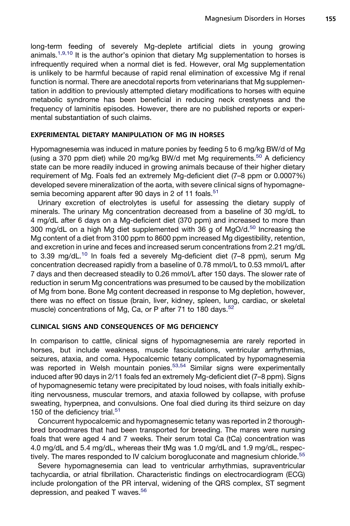long-term feeding of severely Mg-deplete artificial diets in young growing animals.<sup>[1,9,10](#page-10-0)</sup> It is the author's opinion that dietary Mg supplementation to horses is infrequently required when a normal diet is fed. However, oral Mg supplementation is unlikely to be harmful because of rapid renal elimination of excessive Mg if renal function is normal. There are anecdotal reports from veterinarians that Mg supplementation in addition to previously attempted dietary modifications to horses with equine metabolic syndrome has been beneficial in reducing neck crestyness and the frequency of laminitis episodes. However, there are no published reports or experimental substantiation of such claims.

#### EXPERIMENTAL DIETARY MANIPULATION OF MG IN HORSES

Hypomagnesemia was induced in mature ponies by feeding 5 to 6 mg/kg BW/d of Mg (using a 370 ppm diet) while 20 mg/kg BW/d met Mg requirements.<sup>[50](#page-13-0)</sup> A deficiency state can be more readily induced in growing animals because of their higher dietary requirement of Mg. Foals fed an extremely Mg-deficient diet (7–8 ppm or 0.0007%) developed severe mineralization of the aorta, with severe clinical signs of hypomagne-semia becoming apparent after 90 days in 2 of 11 foals.<sup>[51](#page-13-0)</sup>

Urinary excretion of electrolytes is useful for assessing the dietary supply of minerals. The urinary Mg concentration decreased from a baseline of 30 mg/dL to 4 mg/dL after 6 days on a Mg-deficient diet (370 ppm) and increased to more than 300 mg/dL on a high Mg diet supplemented with 36 g of MgO/d. $50$  Increasing the Mg content of a diet from 3100 ppm to 8600 ppm increased Mg digestibility, retention, and excretion in urine and feces and increased serum concentrations from 2.21 mg/dL to 3.39 mg/dL.<sup>[10](#page-11-0)</sup> In foals fed a severely Mg-deficient diet (7-8 ppm), serum Mg concentration decreased rapidly from a baseline of 0.78 mmol/L to 0.53 mmol/L after 7 days and then decreased steadily to 0.26 mmol/L after 150 days. The slower rate of reduction in serum Mg concentrations was presumed to be caused by the mobilization of Mg from bone. Bone Mg content decreased in response to Mg depletion, however, there was no effect on tissue (brain, liver, kidney, spleen, lung, cardiac, or skeletal muscle) concentrations of Mg, Ca, or P after 71 to 180 days.<sup>[52](#page-13-0)</sup>

#### CLINICAL SIGNS AND CONSEQUENCES OF MG DEFICIENCY

In comparison to cattle, clinical signs of hypomagnesemia are rarely reported in horses, but include weakness, muscle fasciculations, ventricular arrhythmias, seizures, ataxia, and coma. Hypocalcemic tetany complicated by hypomagnesemia was reported in Welsh mountain ponies.<sup>[53,54](#page-13-0)</sup> Similar signs were experimentally induced after 90 days in 2/11 foals fed an extremely Mg-deficient diet (7–8 ppm). Signs of hypomagnesemic tetany were precipitated by loud noises, with foals initially exhibiting nervousness, muscular tremors, and ataxia followed by collapse, with profuse sweating, hyperpnea, and convulsions. One foal died during its third seizure on day 150 of the deficiency trial.<sup>[51](#page-13-0)</sup>

Concurrent hypocalcemic and hypomagnesemic tetany was reported in 2 thoroughbred broodmares that had been transported for breeding. The mares were nursing foals that were aged 4 and 7 weeks. Their serum total Ca (tCa) concentration was 4.0 mg/dL and 5.4 mg/dL, whereas their tMg was 1.0 mg/dL and 1.9 mg/dL, respec-tively. The mares responded to IV calcium borogluconate and magnesium chloride.<sup>[55](#page-13-0)</sup>

Severe hypomagnesemia can lead to ventricular arrhythmias, supraventricular tachycardia, or atrial fibrillation. Characteristic findings on electrocardiogram (ECG) include prolongation of the PR interval, widening of the QRS complex, ST segment depression, and peaked T waves.<sup>[56](#page-13-0)</sup>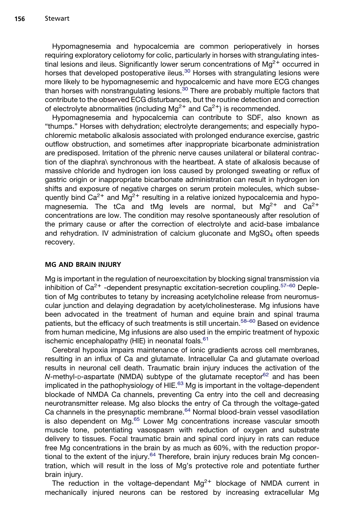Hypomagnesemia and hypocalcemia are common perioperatively in horses requiring exploratory celiotomy for colic, particularly in horses with strangulating intestinal lesions and ileus. Significantly lower serum concentrations of  $Ma^{2+}$  occurred in horses that developed postoperative ileus.<sup>[30](#page-12-0)</sup> Horses with strangulating lesions were more likely to be hypomagnesemic and hypocalcemic and have more ECG changes than horses with nonstrangulating lesions.[30](#page-12-0) There are probably multiple factors that contribute to the observed ECG disturbances, but the routine detection and correction of electrolyte abnormalities (including  $Mg^{2+}$  and  $Ca^{2+}$ ) is recommended.

Hypomagnesemia and hypocalcemia can contribute to SDF, also known as "thumps." Horses with dehydration; electrolyte derangements; and especially hypochloremic metabolic alkalosis associated with prolonged endurance exercise, gastric outflow obstruction, and sometimes after inappropriate bicarbonate administration are predisposed. Irritation of the phrenic nerve causes unilateral or bilateral contraction of the diaphra\ synchronous with the heartbeat. A state of alkalosis because of massive chloride and hydrogen ion loss caused by prolonged sweating or reflux of gastric origin or inappropriate bicarbonate administration can result in hydrogen ion shifts and exposure of negative charges on serum protein molecules, which subsequently bind  $Ca^{2+}$  and Mg<sup>2+</sup> resulting in a relative ionized hypocalcemia and hypomagnesemia. The tCa and tMg levels are normal, but  $Mg^{2+}$  and  $Ca^{2+}$ concentrations are low. The condition may resolve spontaneously after resolution of the primary cause or after the correction of electrolyte and acid-base imbalance and rehydration. IV administration of calcium gluconate and  $MqSO<sub>4</sub>$  often speeds recovery.

## MG AND BRAIN INJURY

Mg is important in the regulation of neuroexcitation by blocking signal transmission via inhibition of  $Ca^{2+}$  -dependent presynaptic excitation-secretion coupling.<sup>[57–60](#page-13-0)</sup> Depletion of Mg contributes to tetany by increasing acetylcholine release from neuromuscular junction and delaying degradation by acetylcholinesterase. Mg infusions have been advocated in the treatment of human and equine brain and spinal trauma patients, but the efficacy of such treatments is still uncertain.<sup>[58–60](#page-13-0)</sup> Based on evidence from human medicine, Mg infusions are also used in the empiric treatment of hypoxic ischemic encephalopathy (HIE) in neonatal foals. $61$ 

Cerebral hypoxia impairs maintenance of ionic gradients across cell membranes, resulting in an influx of Ca and glutamate. Intracellular Ca and glutamate overload results in neuronal cell death. Traumatic brain injury induces the activation of the *N*-methyl-D-aspartate (NMDA) subtype of the glutamate receptor<sup>[62](#page-13-0)</sup> and has been implicated in the pathophysiology of HIE. $^{63}$  $^{63}$  $^{63}$  Mg is important in the voltage-dependent blockade of NMDA Ca channels, preventing Ca entry into the cell and decreasing neurotransmitter release. Mg also blocks the entry of Ca through the voltage-gated Ca channels in the presynaptic membrane.<sup>[64](#page-13-0)</sup> Normal blood-brain vessel vasodilation is also dependent on Mg.<sup>65</sup> Lower Mg concentrations increase vascular smooth muscle tone, potentiating vasospasm with reduction of oxygen and substrate delivery to tissues. Focal traumatic brain and spinal cord injury in rats can reduce free Mg concentrations in the brain by as much as 60%, with the reduction propor-tional to the extent of the injury.<sup>[64](#page-13-0)</sup> Therefore, brain injury reduces brain Mg concentration, which will result in the loss of Mg's protective role and potentiate further brain injury.

The reduction in the voltage-dependant  $Mg^{2+}$  blockage of NMDA current in mechanically injured neurons can be restored by increasing extracellular Mg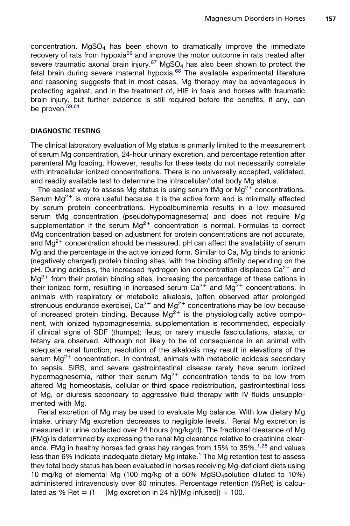concentration.  $MgSO<sub>4</sub>$  has been shown to dramatically improve the immediate recovery of rats from hypoxia<sup>66</sup> and improve the motor outcome in rats treated after severe traumatic axonal brain injury.<sup>[67](#page-13-0)</sup> MgSO<sub>4</sub> has also been shown to protect the fetal brain during severe maternal hypoxia.<sup>[68](#page-14-0)</sup> The available experimental literature and reasoning suggests that in most cases, Mg therapy may be advantageous in protecting against, and in the treatment of, HIE in foals and horses with traumatic brain injury, but further evidence is still required before the benefits, if any, can be proven.<sup>[59,61](#page-13-0)</sup>

#### DIAGNOSTIC TESTING

The clinical laboratory evaluation of Mg status is primarily limited to the measurement of serum Mg concentration, 24-hour urinary excretion, and percentage retention after parenteral Mg loading. However, results for these tests do not necessarily correlate with intracellular ionized concentrations. There is no universally accepted, validated, and readily available test to determine the intracellular/total body Mg status.

The easiest way to assess Mg status is using serum tMg or  $Mg^{2+}$  concentrations. Serum  $Mq^{2+}$  is more useful because it is the active form and is minimally affected by serum protein concentrations. Hypoalbuminemia results in a low measured serum tMg concentration (pseudohypomagnesemia) and does not require Mg supplementation if the serum  $Ma^{2+}$  concentration is normal. Formulas to correct tMg concentration based on adjustment for protein concentrations are not accurate, and  $Mq^{2+}$  concentration should be measured. pH can affect the availability of serum Mg and the percentage in the active ionized form. Similar to Ca, Mg binds to anionic (negatively charged) protein binding sites, with the binding affinity depending on the pH. During acidosis, the increased hydrogen ion concentration displaces  $Ca^{2+}$  and  $Mq^{2+}$  from their protein binding sites, increasing the percentage of these cations in their ionized form, resulting in increased serum  $Ca^{2+}$  and  $Mg^{2+}$  concentrations. In animals with respiratory or metabolic alkalosis, (often observed after prolonged strenuous endurance exercise),  $Ca^{2+}$  and  $Mg^{2+}$  concentrations may be low because of increased protein binding. Because  $Mg^{2+}$  is the physiologically active component, with ionized hypomagnesemia, supplementation is recommended, especially if clinical signs of SDF (thumps); ileus; or rarely muscle fasciculations, ataxia, or tetany are observed. Although not likely to be of consequence in an animal with adequate renal function, resolution of the alkalosis may result in elevations of the serum  $Mq^{2+}$  concentration. In contrast, animals with metabolic acidosis secondary to sepsis, SIRS, and severe gastrointestinal disease rarely have serum ionized hypermagnesemia, rather their serum Mg<sup>2+</sup> concentration tends to be low from altered Mg homeostasis, cellular or third space redistribution, gastrointestinal loss of Mg, or diuresis secondary to aggressive fluid therapy with IV fluids unsupplemented with Mg.

Renal excretion of Mg may be used to evaluate Mg balance. With low dietary Mg intake, urinary Mg excretion decreases to negligible levels.<sup>[1](#page-10-0)</sup> Renal Mg excretion is measured in urine collected over 24 hours (mg/kg/d). The fractional clearance of Mg (FMg) is determined by expressing the renal Mg clearance relative to creatinine clearance. FMg in healthy horses fed grass hay ranges from 15% to  $35\%,^{1,28}$  $35\%,^{1,28}$  $35\%,^{1,28}$  and values less than 6% indicate inadequate dietary Mg intake.<sup>[1](#page-10-0)</sup> The Mg retention test to assess thev total body status has been evaluated in horses receiving Mg-deficient diets using 10 mg/kg of elemental Mg (100 mg/kg of a 50% MgSO<sub>4</sub>solution diluted to 10%) administered intravenously over 60 minutes. Percentage retention (%Ret) is calculated as % Ret =  $(1 - [Mg]$  excretion in 24 h]/[Mg infused])  $\times$  100.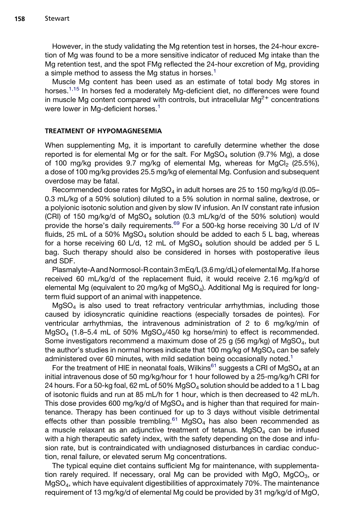However, in the study validating the Mg retention test in horses, the 24-hour excretion of Mg was found to be a more sensitive indicator of reduced Mg intake than the Mg retention test, and the spot FMg reflected the 24-hour excretion of Mg, providing a simple method to assess the Mg status in horses.<sup>[1](#page-10-0)</sup>

Muscle Mg content has been used as an estimate of total body Mg stores in horses.<sup>[1,15](#page-10-0)</sup> In horses fed a moderately Mg-deficient diet, no differences were found in muscle Mg content compared with controls, but intracellular  $Mg^{2+}$  concentrations were lower in Mg-deficient horses.<sup>[1](#page-10-0)</sup>

#### TREATMENT OF HYPOMAGNESEMIA

When supplementing Mg, it is important to carefully determine whether the dose reported is for elemental Mg or for the salt. For  $MgSO<sub>4</sub>$  solution (9.7% Mg), a dose of 100 mg/kg provides 9.7 mg/kg of elemental Mg, whereas for MgCl<sub>2</sub> (25.5%), a dose of 100 mg/kg provides 25.5 mg/kg of elemental Mg. Confusion and subsequent overdose may be fatal.

Recommended dose rates for MgSO<sub>4</sub> in adult horses are 25 to 150 mg/kg/d (0.05– 0.3 mL/kg of a 50% solution) diluted to a 5% solution in normal saline, dextrose, or a polyionic isotonic solution and given by slow IV infusion. An IV constant rate infusion (CRI) of 150 mg/kg/d of MgSO<sub>4</sub> solution (0.3 mL/kg/d of the 50% solution) would provide the horse's daily requirements.<sup>[69](#page-14-0)</sup> For a 500-kg horse receiving 30 L/d of IV fluids, 25 mL of a 50%  $MgSO<sub>4</sub>$  solution should be added to each 5 L bag, whereas for a horse receiving 60 L/d, 12 mL of  $MgSO<sub>4</sub>$  solution should be added per 5 L bag. Such therapy should also be considered in horses with postoperative ileus and SDF.

Plasmalyte-A and Normosol-R contain 3 mEq/L (3.6 mg/dL) of elemental Mg. If a horse received 60 mL/kg/d of the replacement fluid, it would receive 2.16 mg/kg/d of elemental Mg (equivalent to 20 mg/kg of MgSO4). Additional Mg is required for longterm fluid support of an animal with inappetence.

 $MqSO<sub>4</sub>$  is also used to treat refractory ventricular arrhythmias, including those caused by idiosyncratic quinidine reactions (especially torsades de pointes). For ventricular arrhythmias, the intravenous administration of 2 to 6 mg/kg/min of  $MgSO<sub>4</sub>$  (1.8–5.4 mL of 50%  $MgSO<sub>4</sub>/450$  kg horse/min) to effect is recommended. Some investigators recommend a maximum dose of 25 g (56 mg/kg) of  $MqSO<sub>4</sub>$ , but the author's studies in normal horses indicate that 100 mg/kg of  $MgSO<sub>4</sub>$  can be safely administered over 60 minutes, with mild sedation being occasionally noted.<sup>[1](#page-10-0)</sup>

For the treatment of HIE in neonatal foals, Wilkins<sup>[61](#page-13-0)</sup> suggests a CRI of MgSO<sub>4</sub> at an initial intravenous dose of 50 mg/kg/hour for 1 hour followed by a 25-mg/kg/h CRI for 24 hours. For a 50-kg foal, 62 mL of 50%  $MqSO<sub>4</sub>$  solution should be added to a 1 L bag of isotonic fluids and run at 85 mL/h for 1 hour, which is then decreased to 42 mL/h. This dose provides 600 mg/kg/d of  $MgSO<sub>4</sub>$  and is higher than that required for maintenance. Therapy has been continued for up to 3 days without visible detrimental effects other than possible trembling.<sup>[61](#page-13-0)</sup> MgSO<sub>4</sub> has also been recommended as a muscle relaxant as an adjunctive treatment of tetanus.  $MgSO<sub>4</sub>$  can be infused with a high therapeutic safety index, with the safety depending on the dose and infusion rate, but is contraindicated with undiagnosed disturbances in cardiac conduction, renal failure, or elevated serum Mg concentrations.

The typical equine diet contains sufficient Mg for maintenance, with supplementation rarely required. If necessary, oral Mg can be provided with MgO, MgCO $_3$ , or MgSO4, which have equivalent digestibilities of approximately 70%. The maintenance requirement of 13 mg/kg/d of elemental Mg could be provided by 31 mg/kg/d of MgO,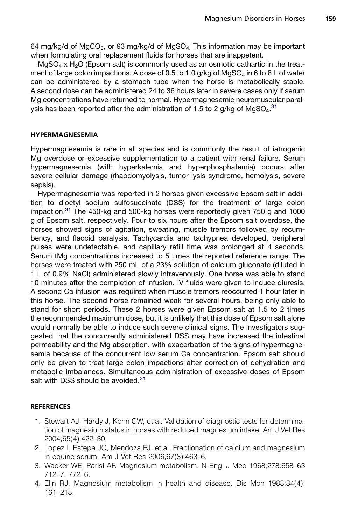<span id="page-10-0"></span>64 mg/kg/d of MgCO<sub>3</sub>, or 93 mg/kg/d of MgSO<sub>4</sub>. This information may be important when formulating oral replacement fluids for horses that are inappetent.

 $MqSO<sub>4</sub>$  x H<sub>2</sub>O (Epsom salt) is commonly used as an osmotic cathartic in the treatment of large colon impactions. A dose of 0.5 to 1.0 g/kg of MgSO<sub>4</sub> in 6 to 8 L of water can be administered by a stomach tube when the horse is metabolically stable. A second dose can be administered 24 to 36 hours later in severe cases only if serum Mg concentrations have returned to normal. Hypermagnesemic neuromuscular paral-ysis has been reported after the administration of 1.5 to 2 g/kg of MgSO<sub>4</sub>.<sup>[31](#page-12-0)</sup>

#### HYPERMAGNESEMIA

Hypermagnesemia is rare in all species and is commonly the result of iatrogenic Mg overdose or excessive supplementation to a patient with renal failure. Serum hypermagnesemia (with hyperkalemia and hyperphosphatemia) occurs after severe cellular damage (rhabdomyolysis, tumor lysis syndrome, hemolysis, severe sepsis).

Hypermagnesemia was reported in 2 horses given excessive Epsom salt in addition to dioctyl sodium sulfosuccinate (DSS) for the treatment of large colon impaction.<sup>[31](#page-12-0)</sup> The 450-kg and 500-kg horses were reportedly given 750 g and 1000 g of Epsom salt, respectively. Four to six hours after the Epsom salt overdose, the horses showed signs of agitation, sweating, muscle tremors followed by recumbency, and flaccid paralysis. Tachycardia and tachypnea developed, peripheral pulses were undetectable, and capillary refill time was prolonged at 4 seconds. Serum tMg concentrations increased to 5 times the reported reference range. The horses were treated with 250 mL of a 23% solution of calcium gluconate (diluted in 1 L of 0.9% NaCl) administered slowly intravenously. One horse was able to stand 10 minutes after the completion of infusion. IV fluids were given to induce diuresis. A second Ca infusion was required when muscle tremors reoccurred 1 hour later in this horse. The second horse remained weak for several hours, being only able to stand for short periods. These 2 horses were given Epsom salt at 1.5 to 2 times the recommended maximum dose, but it is unlikely that this dose of Epsom salt alone would normally be able to induce such severe clinical signs. The investigators suggested that the concurrently administered DSS may have increased the intestinal permeability and the Mg absorption, with exacerbation of the signs of hypermagnesemia because of the concurrent low serum Ca concentration. Epsom salt should only be given to treat large colon impactions after correction of dehydration and metabolic imbalances. Simultaneous administration of excessive doses of Epsom salt with DSS should be avoided.<sup>[31](#page-12-0)</sup>

#### **REFERENCES**

- 1. Stewart AJ, Hardy J, Kohn CW, et al. Validation of diagnostic tests for determination of magnesium status in horses with reduced magnesium intake. Am J Vet Res 2004;65(4):422–30.
- 2. Lopez I, Estepa JC, Mendoza FJ, et al. Fractionation of calcium and magnesium in equine serum. Am J Vet Res 2006;67(3):463–6.
- 3. Wacker WE, Parisi AF. Magnesium metabolism. N Engl J Med 1968;278:658–63 712–7, 772–6.
- 4. Elin RJ. Magnesium metabolism in health and disease. Dis Mon 1988;34(4): 161–218.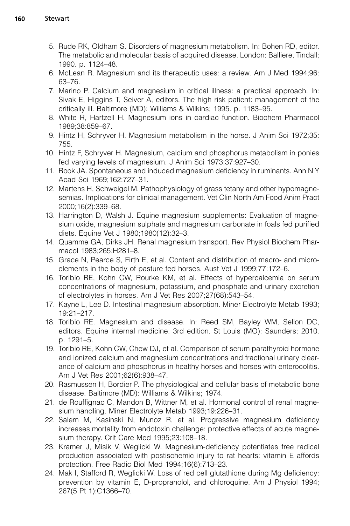- <span id="page-11-0"></span>5. Rude RK, Oldham S. Disorders of magnesium metabolism. In: Bohen RD, editor. The metabolic and molecular basis of acquired disease. London: Balliere, Tindall; 1990. p. 1124–48.
- 6. McLean R. Magnesium and its therapeutic uses: a review. Am J Med 1994;96: 63–76.
- 7. Marino P. Calcium and magnesium in critical illness: a practical approach. In: Sivak E, Higgins T, Seiver A, editors. The high risk patient: management of the critically ill. Baltimore (MD): Williams & Wilkins; 1995. p. 1183–95.
- 8. White R, Hartzell H. Magnesium ions in cardiac function. Biochem Pharmacol 1989;38:859–67.
- 9. Hintz H, Schryver H. Magnesium metabolism in the horse. J Anim Sci 1972;35: 755.
- 10. Hintz F, Schryver H. Magnesium, calcium and phosphorus metabolism in ponies fed varying levels of magnesium. J Anim Sci 1973;37:927–30.
- 11. Rook JA. Spontaneous and induced magnesium deficiency in ruminants. Ann N Y Acad Sci 1969;162:727–31.
- 12. Martens H, Schweigel M. Pathophysiology of grass tetany and other hypomagnesemias. Implications for clinical management. Vet Clin North Am Food Anim Pract 2000;16(2):339–68.
- 13. Harrington D, Walsh J. Equine magnesium supplements: Evaluation of magnesium oxide, magnesium sulphate and magnesium carbonate in foals fed purified diets. Equine Vet J 1980;1980(12):32–3.
- 14. Quamme GA, Dirks JH. Renal magnesium transport. Rev Physiol Biochem Pharmacol 1983;265:H281–8.
- 15. Grace N, Pearce S, Firth E, et al. Content and distribution of macro- and microelements in the body of pasture fed horses. Aust Vet J 1999;77:172–6.
- 16. Toribio RE, Kohn CW, Rourke KM, et al. Effects of hypercalcemia on serum concentrations of magnesium, potassium, and phosphate and urinary excretion of electrolytes in horses. Am J Vet Res 2007;27(68):543–54.
- 17. Kayne L, Lee D. Intestinal magnesium absorption. Miner Electrolyte Metab 1993; 19:21–217.
- 18. Toribio RE. Magnesium and disease. In: Reed SM, Bayley WM, Sellon DC, editors. Equine internal medicine. 3rd edition. St Louis (MO): Saunders; 2010. p. 1291–5.
- 19. Toribio RE, Kohn CW, Chew DJ, et al. Comparison of serum parathyroid hormone and ionized calcium and magnesium concentrations and fractional urinary clearance of calcium and phosphorus in healthy horses and horses with enterocolitis. Am J Vet Res 2001;62(6):938–47.
- 20. Rasmussen H, Bordier P. The physiological and cellular basis of metabolic bone disease. Baltimore (MD): Williams & Wilkins; 1974.
- 21. de Rouffignac C, Mandon B, Wittner M, et al. Hormonal control of renal magnesium handling. Miner Electrolyte Metab 1993;19:226–31.
- 22. Salem M, Kasinski N, Munoz R, et al. Progressive magnesium deficiency increases mortality from endotoxin challenge: protective effects of acute magnesium therapy. Crit Care Med 1995;23:108–18.
- 23. Kramer J, Misik V, Weglicki W. Magnesium-deficiency potentiates free radical production associated with postischemic injury to rat hearts: vitamin E affords protection. Free Radic Biol Med 1994;16(6):713–23.
- 24. Mak I, Stafford R, Weglicki W. Loss of red cell glutathione during Mg deficiency: prevention by vitamin E, D-propranolol, and chloroquine. Am J Physiol 1994; 267(5 Pt 1):C1366–70.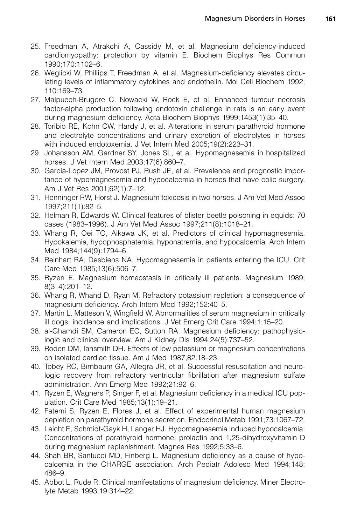- <span id="page-12-0"></span>25. Freedman A, Atrakchi A, Cassidy M, et al. Magnesium deficiency-induced cardiomyopathy: protection by vitamin E. Biochem Biophys Res Commun 1990;170:1102–6.
- 26. Weglicki W, Phillips T, Freedman A, et al. Magnesium-deficiency elevates circulating levels of inflammatory cytokines and endothelin. Mol Cell Biochem 1992; 110:169–73.
- 27. Malpuech-Brugere C, Nowacki W, Rock E, et al. Enhanced tumour necrosis factor-alpha production following endotoxin challenge in rats is an early event during magnesium deficiency. Acta Biochem Biophys 1999;1453(1):35–40.
- 28. Toribio RE, Kohn CW, Hardy J, et al. Alterations in serum parathyroid hormone and electrolyte concentrations and urinary excretion of electrolytes in horses with induced endotoxemia. J Vet Intern Med 2005;19(2):223–31.
- 29. Johansson AM, Gardner SY, Jones SL, et al. Hypomagnesemia in hospitalized horses. J Vet Intern Med 2003;17(6):860–7.
- 30. Garcia-Lopez JM, Provost PJ, Rush JE, et al. Prevalence and prognostic importance of hypomagnesemia and hypocalcemia in horses that have colic surgery. Am J Vet Res 2001;62(1):7–12.
- 31. Henninger RW, Horst J. Magnesium toxicosis in two horses. J Am Vet Med Assoc 1997;211(1):82–5.
- 32. Helman R, Edwards W. Clinical features of blister beetle poisoning in equids: 70 cases (1983–1996). J Am Vet Med Assoc 1997;211(8):1018–21.
- 33. Whang R, Oei TO, Aikawa JK, et al. Predictors of clinical hypomagnesemia. Hypokalemia, hypophosphatemia, hyponatremia, and hypocalcemia. Arch Intern Med 1984;144(9):1794–6.
- 34. Reinhart RA, Desbiens NA. Hypomagnesemia in patients entering the ICU. Crit Care Med 1985;13(6):506–7.
- 35. Ryzen E. Magnesium homeostasis in critically ill patients. Magnesium 1989; 8(3–4):201–12.
- 36. Whang R, Whand D, Ryan M. Refractory potassium repletion: a consequence of magnesium deficiency. Arch Intern Med 1992;152:40–5.
- 37. Martin L, Matteson V, Wingfield W. Abnormalities of serum magnesium in critically ill dogs: incidence and implications. J Vet Emerg Crit Care 1994;1:15–20.
- 38. al-Ghamdi SM, Cameron EC, Sutton RA. Magnesium deficiency: pathophysiologic and clinical overview. Am J Kidney Dis 1994;24(5):737–52.
- 39. Roden DM, Iansmith DH. Effects of low potassium or magnesium concentrations on isolated cardiac tissue. Am J Med 1987;82:18–23.
- 40. Tobey RC, Birnbaum GA, Allegra JR, et al. Successful resuscitation and neurologic recovery from refractory ventricular fibrillation after magnesium sulfate administration. Ann Emerg Med 1992;21:92–6.
- 41. Ryzen E, Wagners P, Singer F, et al. Magnesium deficiency in a medical ICU population. Crit Care Med 1985;13(1):19–21.
- 42. Fatemi S, Ryzen E, Flores J, et al. Effect of experimental human magnesium depletion on parathyroid hormone secretion. Endocrinol Metab 1991;73:1067–72.
- 43. Leicht E, Schmidt-Gayk H, Langer HJ. Hypomagnesemia induced hypocalcemia: Concentrations of parathyroid hormone, prolactin and 1,25-dihydroxyvitamin D during magnesium replenishment. Magnes Res 1992;5:33–6.
- 44. Shah BR, Santucci MD, Finberg L. Magnesium deficiency as a cause of hypocalcemia in the CHARGE association. Arch Pediatr Adolesc Med 1994;148: 486–9.
- 45. Abbot L, Rude R. Clinical manifestations of magnesium deficiency. Miner Electrolyte Metab 1993;19:314–22.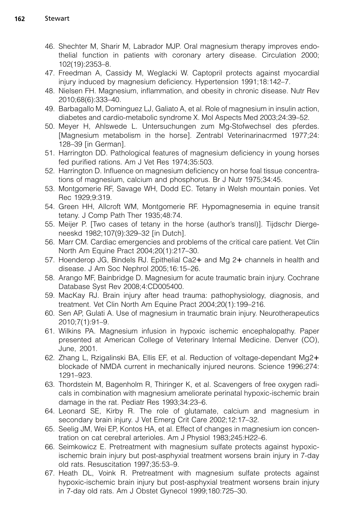- <span id="page-13-0"></span>46. Shechter M, Sharir M, Labrador MJP. Oral magnesium therapy improves endothelial function in patients with coronary artery disease. Circulation 2000; 102(19):2353–8.
- 47. Freedman A, Cassidy M, Weglacki W. Captopril protects against myocardial injury induced by magnesium deficiency. Hypertension 1991;18:142–7.
- 48. Nielsen FH. Magnesium, inflammation, and obesity in chronic disease. Nutr Rev 2010;68(6):333–40.
- 49. Barbagallo M, Dominguez LJ, Galiato A, et al. Role of magnesium in insulin action, diabetes and cardio-metabolic syndrome X. Mol Aspects Med 2003;24:39–52.
- 50. Meyer H, Ahlswede L. Untersuchungen zum Mg-Stofwechsel des pferdes. [Magnesium metabolism in the horse]. Zentrabl Veterinarinacrmed 1977;24: 128–39 [in German].
- 51. Harrington DD. Pathological features of magnesium deficiency in young horses fed purified rations. Am J Vet Res 1974;35:503.
- 52. Harrington D. Influence on magnesium deficiency on horse foal tissue concentrations of magnesium, calcium and phosphorus. Br J Nutr 1975;34:45.
- 53. Montgomerie RF, Savage WH, Dodd EC. Tetany in Welsh mountain ponies. Vet Rec 1929;9:319.
- 54. Green HH, Allcroft WM, Montgomerie RF. Hypomagnesemia in equine transit tetany. J Comp Path Ther 1935;48:74.
- 55. Meijer P. [Two cases of tetany in the horse (author's transl)]. Tijdschr Diergeneeskd 1982;107(9):329–32 [in Dutch].
- 56. Marr CM. Cardiac emergencies and problems of the critical care patient. Vet Clin North Am Equine Pract 2004;20(1):217–30.
- 57. Hoenderop JG, Bindels RJ. Epithelial Ca2+ and Mg 2+ channels in health and disease. J Am Soc Nephrol 2005;16:15–26.
- 58. Arango MF, Bainbridge D. Magnesium for acute traumatic brain injury. Cochrane Database Syst Rev 2008;4:CD005400.
- 59. MacKay RJ. Brain injury after head trauma: pathophysiology, diagnosis, and treatment. Vet Clin North Am Equine Pract 2004;20(1):199–216.
- 60. Sen AP, Gulati A. Use of magnesium in traumatic brain injury. Neurotherapeutics 2010;7(1):91–9.
- 61. Wilkins PA. Magnesium infusion in hypoxic ischemic encephalopathy. Paper presented at American College of Veterinary Internal Medicine. Denver (CO), June, 2001.
- 62. Zhang L, Rzigalinski BA, Ellis EF, et al. Reduction of voltage-dependant Mg2+ blockade of NMDA current in mechanically injured neurons. Science 1996;274: 1291–923.
- 63. Thordstein M, Bagenholm R, Thiringer K, et al. Scavengers of free oxygen radicals in combination with magnesium ameliorate perinatal hypoxic-ischemic brain damage in the rat. Pediatr Res 1993;34:23–6.
- 64. Leonard SE, Kirby R. The role of glutamate, calcium and magnesium in secondary brain injury. J Vet Emerg Crit Care 2002;12:17–32.
- 65. Seelig JM, Wei EP, Kontos HA, et al. Effect of changes in magnesium ion concentration on cat cerebral arterioles. Am J Physiol 1983;245:H22–6.
- 66. Seimkowicz E. Pretreatment with magnesium sulfate protects against hypoxicischemic brain injury but post-asphyxial treatment worsens brain injury in 7-day old rats. Resuscitation 1997;35:53–9.
- 67. Heath DL, Voink R. Pretreatment with magnesium sulfate protects against hypoxic-ischemic brain injury but post-asphyxial treatment worsens brain injury in 7-day old rats. Am J Obstet Gynecol 1999;180:725–30.